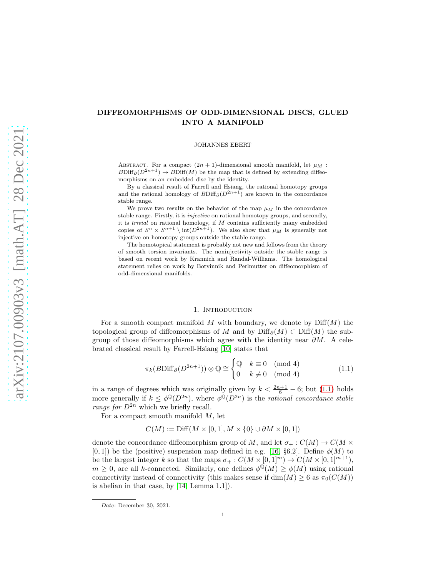# DIFFEOMORPHISMS OF ODD-DIMENSIONAL DISCS, GLUED INTO A MANIFOLD

JOHANNES EBERT

ABSTRACT. For a compact  $(2n + 1)$ -dimensional smooth manifold, let  $\mu_M$ :  $B\text{Diff}_{\partial}(D^{2n+1}) \to B\text{Diff}(M)$  be the map that is defined by extending diffeomorphisms on an embedded disc by the identity.

By a classical result of Farrell and Hsiang, the rational homotopy groups and the rational homology of  $B\text{Diff}_\partial(D^{2n+1})$  are known in the concordance stable range.

We prove two results on the behavior of the map  $\mu_M$  in the concordance stable range. Firstly, it is injective on rational homotopy groups, and secondly, it is trivial on rational homology, if M contains sufficiently many embedded copies of  $S^n \times S^{n+1} \setminus \text{int}(D^{2n+1})$ . We also show that  $\mu_M$  is generally not injective on homotopy groups outside the stable range.

The homotopical statement is probably not new and follows from the theory of smooth torsion invariants. The noninjectivity outside the stable range is based on recent work by Krannich and Randal-Williams. The homological statement relies on work by Botvinnik and Perlmutter on diffeomorphism of odd-dimensional manifolds.

## 1. INTRODUCTION

For a smooth compact manifold M with boundary, we denote by  $\text{Diff}(M)$  the topological group of diffeomorphisms of M and by  $\text{Diff}_{\partial}(M) \subset \text{Diff}(M)$  the subgroup of those diffeomorphisms which agree with the identity near  $\partial M$ . A celebrated classical result by Farrell-Hsiang [\[10\]](#page-11-0) states that

<span id="page-0-0"></span>
$$
\pi_k(B\text{Diff}_{\partial}(D^{2n+1})) \otimes \mathbb{Q} \cong \begin{cases} \mathbb{Q} & k \equiv 0 \pmod{4} \\ 0 & k \not\equiv 0 \pmod{4} \end{cases}
$$
(1.1)

in a range of degrees which was originally given by  $k < \frac{2n+1}{6} - 6$ ; but [\(1.1\)](#page-0-0) holds more generally if  $k \leq \phi^{\mathbb{Q}}(D^{2n})$ , where  $\phi^{\mathbb{Q}}(D^{2n})$  is the *rational concordance stable* range for  $D^{2n}$  which we briefly recall.

For a compact smooth manifold  $M$ , let

$$
C(M) := \text{Diff}(M \times [0,1], M \times \{0\} \cup \partial M \times [0,1])
$$

denote the concordance diffeomorphism group of M, and let  $\sigma_+ : C(M) \to C(M \times$  $[0, 1]$ ) be the (positive) suspension map defined in e.g. [\[16,](#page-11-1) §6.2]. Define  $\phi(M)$  to be the largest integer k so that the maps  $\sigma_+ : C(M \times [0,1]^m) \to C(M \times [0,1]^{m+1}),$  $m \geq 0$ , are all k-connected. Similarly, one defines  $\phi^{\mathbb{Q}}(M) \geq \phi(M)$  using rational connectivity instead of connectivity (this makes sense if  $\dim(M) \geq 6$  as  $\pi_0(C(M))$ ) is abelian in that case, by [\[14,](#page-11-2) Lemma 1.1]).

Date: December 30, 2021.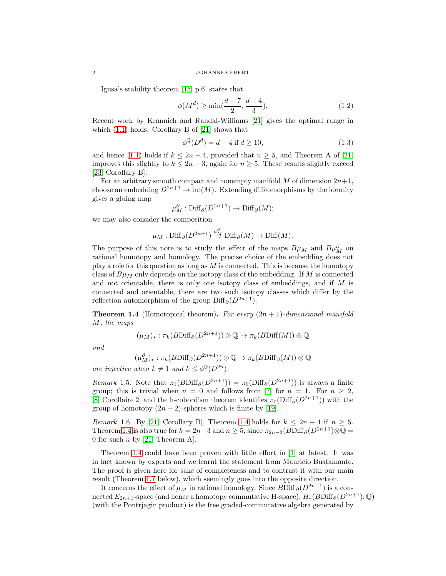Igusa's stability theorem [\[15,](#page-11-3) p.6] states that

<span id="page-1-2"></span>
$$
\phi(M^d) \ge \min(\frac{d-7}{2}, \frac{d-4}{3}).\tag{1.2}
$$

Recent work by Krannich and Randal-Williams [\[21\]](#page-12-0) gives the optimal range in which [\(1.1\)](#page-0-0) holds. Corollary B of [\[21\]](#page-12-0) shows that

$$
\phi^{\mathbb{Q}}(D^d) = d - 4 \text{ if } d \ge 10,
$$
\n
$$
(1.3)
$$

and hence [\(1.1\)](#page-0-0) holds if  $k \leq 2n-4$ , provided that  $n \geq 5$ , and Theorem A of [\[21\]](#page-12-0) improves this slightly to  $k \leq 2n-3$ , again for  $n \geq 5$ . These results slightly exceed [\[23,](#page-12-1) Corollary B].

For an arbitrary smooth compact and nonempty manifold M of dimension  $2n+1$ , choose an embedding  $D^{2n+1} \to \text{int}(M)$ . Extending diffeomorphisms by the identity gives a gluing map

$$
\mu_M^{\partial}: \mathrm{Diff}_{\partial}(D^{2n+1}) \to \mathrm{Diff}_{\partial}(M);
$$

we may also consider the composition

$$
\mu_M
$$
: Diff<sub>∂</sub>( $D^{2n+1}$ )  $\stackrel{\mu^{\partial}_M}{\to}$  Diff<sub>∂</sub>( $M$ )  $\to$  Diff $(M)$ .

The purpose of this note is to study the effect of the maps  $B\mu_M$  and  $B\mu_M^{\partial}$  on rational homotopy and homology. The precise choice of the embedding does not play a role for this question as long as  $M$  is connected. This is because the homotopy class of  $B\mu_M$  only depends on the isotopy class of the embedding. If M is connected and not orientable, there is only one isotopy class of embeddings, and if M is connected and orientable, there are two such isotopy classes which differ by the reflection automorphism of the group Diff<sub>∂</sub> $(D^{2n+1})$ .

<span id="page-1-0"></span>**Theorem 1.4** (Homotopical theorem). For every  $(2n + 1)$ -dimensional manifold M, the maps

$$
(\mu_M)_*: \pi_k(B\mathrm{Diff}_{\partial}(D^{2n+1})) \otimes \mathbb{Q} \to \pi_k(B\mathrm{Diff}(M)) \otimes \mathbb{Q}
$$

and

$$
(\mu_M^{\partial})_* : \pi_k(B\mathrm{Diff}_{\partial}(D^{2n+1})) \otimes \mathbb{Q} \to \pi_k(B\mathrm{Diff}_{\partial}(M)) \otimes \mathbb{Q}
$$

are injective when  $k \neq 1$  and  $k \leq \phi^{\mathbb{Q}}(D^{2n})$ .

Remark 1.5. Note that  $\pi_1(B\text{Diff}_{\partial}(D^{2n+1})) = \pi_0(\text{Diff}_{\partial}(D^{2n+1}))$  is always a finite group; this is trivial when  $n = 0$  and follows from [\[7\]](#page-11-4) for  $n = 1$ . For  $n \geq 2$ , [\[8,](#page-11-5) Corollaire 2] and the h-cobordism theorem identifies  $\pi_0(\text{Diff}_{\partial}(D^{2n+1}))$  with the group of homotopy  $(2n + 2)$ -spheres which is finite by [\[19\]](#page-11-6).

<span id="page-1-1"></span>Remark 1.6. By [\[21,](#page-12-0) Corollary B], Theorem [1.4](#page-1-0) holds for  $k \leq 2n-4$  if  $n \geq 5$ . Theorem [1.4](#page-1-0) is also true for  $k = 2n-3$  and  $n \geq 5$ , since  $\pi_{2n-3}(B\text{Diff}_{\partial}(D^{2n+1})\otimes\mathbb{Q})$ 0 for such  $n$  by [\[21,](#page-12-0) Theorem A].

Theorem [1.4](#page-1-0) could have been proven with little effort in [\[1\]](#page-11-7) at latest. It was in fact known by experts and we learnt the statement from Mauricio Bustamante. The proof is given here for sake of completeness and to contrast it with our main result (Theorem [1.7](#page-2-0) below), which seemingly goes into the opposite direction.

It concerns the effect of  $\mu_M$  in rational homology. Since  $B\text{Diff}_{\partial}(D^{2n+1})$  is a connected  $E_{2n+1}$ -space (and hence a homotopy commutative H-space),  $H_*(B\text{Diff}_{\partial}(D^{2n+1}); \mathbb{Q})$ (with the Pontrjagin product) is the free graded-commutative algebra generated by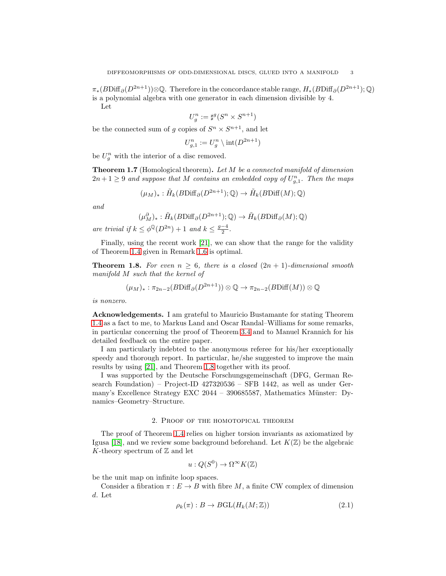$\pi_*(B\text{Diff}_{\partial}(D^{2n+1}))\otimes\mathbb{Q}$ . Therefore in the concordance stable range,  $H_*(B\text{Diff}_{\partial}(D^{2n+1});\mathbb{Q})$ is a polynomial algebra with one generator in each dimension divisible by 4. Let

$$
U_g^n:=\sharp^g(S^n\times S^{n+1})
$$

be the connected sum of g copies of  $S^n \times S^{n+1}$ , and let

$$
U_{g,1}^n := U_g^n \setminus \mathrm{int}(D^{2n+1})
$$

be  $U_g^n$  with the interior of a disc removed.

<span id="page-2-0"></span>**Theorem 1.7** (Homological theorem). Let  $M$  be a connected manifold of dimension  $2n+1 \geq 9$  and suppose that M contains an embedded copy of  $U_{g,1}^n$ . Then the maps

$$
(\mu_M)_*: \tilde{H}_k(B\mathrm{Diff}_{\partial}(D^{2n+1});\mathbb{Q}) \to \tilde{H}_k(B\mathrm{Diff}(M);\mathbb{Q})
$$

and

$$
(\mu_M^{\partial})_* : \tilde{H}_k(B\mathrm{Diff}_{\partial}(D^{2n+1});\mathbb{Q}) \to \tilde{H}_k(B\mathrm{Diff}_{\partial}(M);\mathbb{Q})
$$

are trivial if  $k \leq \phi^{\mathbb{Q}}(D^{2n}) + 1$  and  $k \leq \frac{g-4}{2}$ .

Finally, using the recent work [\[21\]](#page-12-0), we can show that the range for the validity of Theorem [1.4](#page-1-0) given in Remark [1.6](#page-1-1) is optimal.

<span id="page-2-1"></span>**Theorem 1.8.** For even  $n \geq 6$ , there is a closed  $(2n + 1)$ -dimensional smooth manifold M such that the kernel of

$$
(\mu_M)_*: \pi_{2n-2}(B\mathrm{Diff}_{\partial}(D^{2n+1})) \otimes \mathbb{Q} \to \pi_{2n-2}(B\mathrm{Diff}(M)) \otimes \mathbb{Q}
$$

is nonzero.

Acknowledgements. I am grateful to Mauricio Bustamante for stating Theorem [1.4](#page-1-0) as a fact to me, to Markus Land and Oscar Randal–Williams for some remarks, in particular concerning the proof of Theorem [3.4](#page-8-0) and to Manuel Krannich for his detailed feedback on the entire paper.

I am particularly indebted to the anonymous referee for his/her exceptionally speedy and thorough report. In particular, he/she suggested to improve the main results by using [\[21\]](#page-12-0), and Theorem [1.8](#page-2-1) together with its proof.

I was supported by the Deutsche Forschungsgemeinschaft (DFG, German Research Foundation) – Project-ID 427320536 – SFB 1442, as well as under Germany's Excellence Strategy EXC 2044 – 390685587, Mathematics Münster: Dynamics–Geometry–Structure.

## 2. Proof of the homotopical theorem

The proof of Theorem [1.4](#page-1-0) relies on higher torsion invariants as axiomatized by Igusa [\[18\]](#page-11-8), and we review some background beforehand. Let  $K(\mathbb{Z})$  be the algebraic K-theory spectrum of  $\mathbb Z$  and let

$$
u: Q(S^0) \to \Omega^\infty K(\mathbb{Z})
$$

be the unit map on infinite loop spaces.

Consider a fibration  $\pi : E \to B$  with fibre M, a finite CW complex of dimension d. Let

$$
\rho_k(\pi) : B \to BGL(H_k(M; \mathbb{Z})) \tag{2.1}
$$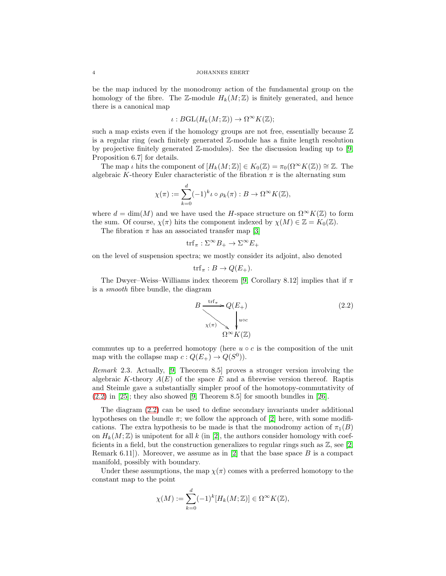#### 4 JOHANNES EBERT

be the map induced by the monodromy action of the fundamental group on the homology of the fibre. The Z-module  $H_k(M;\mathbb{Z})$  is finitely generated, and hence there is a canonical map

$$
\iota: BGL(H_k(M;\mathbb{Z})) \to \Omega^\infty K(\mathbb{Z});
$$

such a map exists even if the homology groups are not free, essentially because  $\mathbb Z$ is a regular ring (each finitely generated Z-module has a finite length resolution by projective finitely generated  $\mathbb{Z}\text{-modules}$ . See the discussion leading up to [\[9,](#page-11-9) Proposition 6.7] for details.

The map *ι* hits the component of  $[H_k(M;\mathbb{Z})] \in K_0(\mathbb{Z}) = \pi_0(\Omega^{\infty}K(\mathbb{Z})) \cong \mathbb{Z}$ . The algebraic K-theory Euler characteristic of the fibration  $\pi$  is the alternating sum

$$
\chi(\pi) := \sum_{k=0}^d (-1)^k \iota \circ \rho_k(\pi) : B \to \Omega^\infty K(\mathbb{Z}),
$$

where  $d = \dim(M)$  and we have used the H-space structure on  $\Omega^{\infty}K(\mathbb{Z})$  to form the sum. Of course,  $\chi(\pi)$  hits the component indexed by  $\chi(M) \in \mathbb{Z} = K_0(\mathbb{Z})$ .

The fibration  $\pi$  has an associated transfer map [\[3\]](#page-11-10)

$$
\operatorname{trf}_{\pi} : \Sigma^{\infty} B_{+} \to \Sigma^{\infty} E_{+}
$$

on the level of suspension spectra; we mostly consider its adjoint, also denoted

$$
\text{trf}_{\pi}: B \to Q(E_+).
$$

The Dwyer–Weiss–Williams index theorem [\[9,](#page-11-9) Corollary 8.12] implies that if  $\pi$ is a smooth fibre bundle, the diagram

<span id="page-3-0"></span>
$$
B \xrightarrow{\text{trf}_{\pi}} Q(E_+) \tag{2.2}
$$
\n
$$
\chi(\pi) \searrow \downarrow_{\text{uoc}}
$$
\n
$$
\Omega^{\infty} K(\mathbb{Z})
$$

commutes up to a preferred homotopy (here  $u \circ c$  is the composition of the unit map with the collapse map  $c: Q(E_+) \to Q(S^0)$ .

Remark 2.3. Actually, [\[9,](#page-11-9) Theorem 8.5] proves a stronger version involving the algebraic K-theory  $A(E)$  of the space E and a fibrewise version thereof. Raptis and Steimle gave a substantially simpler proof of the homotopy-commutativity of  $(2.2)$  in [\[25\]](#page-12-2); they also showed [\[9,](#page-11-9) Theorem 8.5] for smooth bundles in [\[26\]](#page-12-3).

The diagram [\(2.2\)](#page-3-0) can be used to define secondary invariants under additional hypotheses on the bundle  $\pi$ ; we follow the approach of [\[2\]](#page-11-11) here, with some modifications. The extra hypothesis to be made is that the monodromy action of  $\pi_1(B)$ on  $H_k(M; \mathbb{Z})$  is unipotent for all k (in [\[2\]](#page-11-11), the authors consider homology with coefficients in a field, but the construction generalizes to regular rings such as  $\mathbb{Z}$ , see [\[2,](#page-11-11) Remark 6.11]). Moreover, we assume as in [\[2\]](#page-11-11) that the base space B is a compact manifold, possibly with boundary.

Under these assumptions, the map  $\chi(\pi)$  comes with a preferred homotopy to the constant map to the point

$$
\chi(M) := \sum_{k=0}^d (-1)^k [H_k(M; \mathbb{Z})] \in \Omega^\infty K(\mathbb{Z}),
$$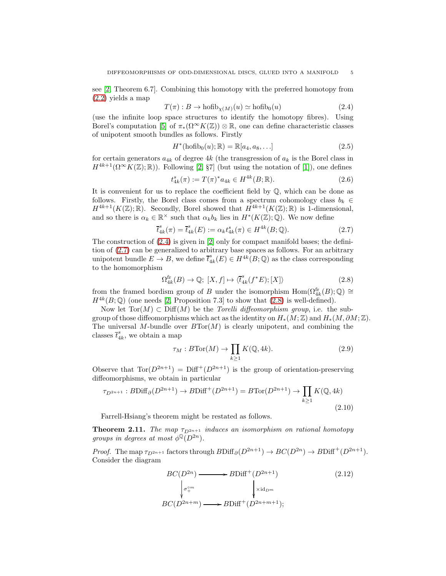see [\[2,](#page-11-11) Theorem 6.7]. Combining this homotopy with the preferred homotopy from [\(2.2\)](#page-3-0) yields a map

<span id="page-4-0"></span>
$$
T(\pi) : B \to \text{hofib}_{\chi(M)}(u) \simeq \text{hofib}_{0}(u) \tag{2.4}
$$

(use the infinite loop space structures to identify the homotopy fibres). Using Borel's computation [\[5\]](#page-11-12) of  $\pi_*(\Omega^\infty K(\mathbb{Z})) \otimes \mathbb{R}$ , one can define characteristic classes of unipotent smooth bundles as follows. Firstly

$$
H^*(\text{hofib}_0(u); \mathbb{R}) = \mathbb{R}[a_4, a_8, \ldots]
$$
\n
$$
(2.5)
$$

for certain generators  $a_{4k}$  of degree  $4k$  (the transgression of  $a_k$  is the Borel class in  $H^{4k+1}(\Omega^\infty K(\mathbb{Z}); \mathbb{R})$ ). Following [\[2,](#page-11-11) §7] (but using the notation of [\[1\]](#page-11-7)), one defines

$$
t_{4k}^s(\pi) := T(\pi)^* a_{4k} \in H^{4k}(B; \mathbb{R}).
$$
\n(2.6)

It is convenient for us to replace the coefficient field by  $\mathbb{Q}$ , which can be done as follows. Firstly, the Borel class comes from a spectrum cohomology class  $b_k \in$  $H^{4k+1}(K(\mathbb{Z}); \mathbb{R})$ . Secondly, Borel showed that  $H^{4k+1}(K(\mathbb{Z}); \mathbb{R})$  is 1-dimensional, and so there is  $\alpha_k \in \mathbb{R}^\times$  such that  $\alpha_k b_k$  lies in  $H^*(K(\mathbb{Z}); \mathbb{Q})$ . We now define

<span id="page-4-1"></span>
$$
\bar{t}_{4k}^{s}(\pi) = \bar{t}_{4k}^{s}(E) := \alpha_k t_{4k}^{s}(\pi) \in H^{4k}(B; \mathbb{Q}).
$$
\n(2.7)

The construction of  $(2.4)$  is given in [\[2\]](#page-11-11) only for compact manifold bases; the definition of [\(2.7\)](#page-4-1) can be generalized to arbitrary base spaces as follows. For an arbitrary unipotent bundle  $E \to B$ , we define  $\overline{t}_4^s$  $A_k^s(E) \in H^{4k}(B; \mathbb{Q})$  as the class corresponding to the homomorphism

<span id="page-4-2"></span>
$$
\Omega_{4k}^{\text{fr}}(B) \to \mathbb{Q}; \ [X, f] \mapsto \langle \overline{t}_{4k}^{s}(f^{*}E); [X] \rangle \tag{2.8}
$$

from the framed bordism group of B under the isomorphism  $\text{Hom}(\Omega_{4k}^{\text{fr}}(B);\mathbb{Q})\cong$  $H^{4k}(B; \mathbb{Q})$  (one needs [\[2,](#page-11-11) Proposition 7.3] to show that [\(2.8\)](#page-4-2) is well-defined).

Now let  $Tor(M) \subset \text{Diff}(M)$  be the *Torelli diffeomorphism group*, i.e. the subgroup of those diffeomorphisms which act as the identity on  $H_*(M;\mathbb{Z})$  and  $H_*(M,\partial M;\mathbb{Z})$ . The universal M-bundle over  $B\text{Tor}(M)$  is clearly unipotent, and combining the classes  $\overline{t}_4^s$  $a_{4k}^s$ , we obtain a map

$$
\tau_M: B\operatorname{Tor}(M) \to \prod_{k \ge 1} K(\mathbb{Q}, 4k). \tag{2.9}
$$

Observe that  $\text{Tor}(D^{2n+1}) = \text{Diff}^+(D^{2n+1})$  is the group of orientation-preserving diffeomorphisms, we obtain in particular

$$
\tau_{D^{2n+1}}: B\text{Diff}_{\partial}(D^{2n+1}) \to B\text{Diff}^+(D^{2n+1}) = B\text{Tor}(D^{2n+1}) \to \prod_{k \ge 1} K(\mathbb{Q}, 4k)
$$
\n
$$
(2.10)
$$

Farrell-Hsiang's theorem might be restated as follows.

<span id="page-4-3"></span>**Theorem 2.11.** The map  $\tau_{D^{2n+1}}$  induces an isomorphism on rational homotopy groups in degrees at most  $\phi^{\mathbb{Q}}(D^{2n})$ .

*Proof.* The map  $\tau_{D^{2n+1}}$  factors through  $B\text{Diff}_{\partial}(D^{2n+1}) \to BC(D^{2n}) \to B\text{Diff}^+(D^{2n+1})$ . Consider the diagram

$$
BC(D^{2n}) \longrightarrow BDiff^+(D^{2n+1})
$$
\n
$$
\downarrow^{\sigma_+^{om}} \downarrow^{\times id_{D^m}}
$$
\n
$$
BC(D^{2n+m}) \longrightarrow BDiff^+(D^{2n+m+1});
$$
\n(2.12)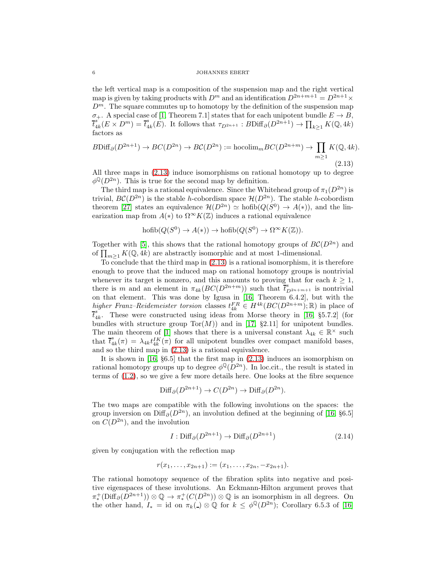#### 6 JOHANNES EBERT

the left vertical map is a composition of the suspension map and the right vertical map is given by taking products with  $D^m$  and an identification  $D^{2n+m+1} = D^{2n+1} \times$  $D^m$ . The square commutes up to homotopy by the definition of the suspension map  $\sigma_+$ . A special case of [\[1,](#page-11-7) Theorem 7.1] states that for each unipotent bundle  $E \to B$ ,  $\overline{t}_4^s$  $\frac{s}{4k}(E\times D^m)=\overline{t}_4^s$  $_{4k}^{s}(E)$ . It follows that  $\tau_{D^{2n+1}} : B\text{Diff}_{\partial}(D^{2n+1}) \to \prod_{k \geq 1} K(\mathbb{Q}, 4k)$ factors as

<span id="page-5-0"></span>
$$
B\text{Diff}_{\partial}(D^{2n+1}) \to BC(D^{2n}) \to BC(D^{2n}) := \text{hocolim}_{m} BC(D^{2n+m}) \to \prod_{m \ge 1} K(\mathbb{Q}, 4k).
$$
\n(2.13)

All three maps in [\(2.13\)](#page-5-0) induce isomorphisms on rational homotopy up to degree  $\phi^{\mathbb{Q}}(D^{2n})$ . This is true for the second map by definition.

The third map is a rational equivalence. Since the Whitehead group of  $\pi_1(D^{2n})$  is trivial,  $BC(D^{2n})$  is the stable h-cobordism space  $\mathcal{H}(D^{2n})$ . The stable h-cobordism theorem [\[27\]](#page-12-4) states an equivalence  $\mathcal{H}(D^{2n}) \simeq \text{hofib}(Q(S^0) \to A(*)),$  and the linearization map from  $A(*)$  to  $\Omega^{\infty}K(\mathbb{Z})$  induces a rational equivalence

$$
\operatorname{hofib}(Q(S^0) \to A(*) ) \to \operatorname{hofib}(Q(S^0) \to \Omega^\infty K(\mathbb{Z})).
$$

Together with [\[5\]](#page-11-12), this shows that the rational homotopy groups of  $BC(D^{2n})$  and of  $\prod_{m\geq 1} K(Q, 4k)$  are abstractly isomorphic and at most 1-dimensional.

To conclude that the third map in [\(2.13\)](#page-5-0) is a rational isomorphism, it is therefore enough to prove that the induced map on rational homotopy groups is nontrivial whenever its target is nonzero, and this amounts to proving that for each  $k \geq 1$ , there is m and an element in  $\pi_{4k}(BC(D^{2n+m}))$  such that  $\overline{t}_{D^{2n+m+1}}^s$  is nontrivial on that element. This was done by Igusa in [\[16,](#page-11-1) Theorem 6.4.2], but with the higher Franz–Reidemeister torsion classes  $t_k^{FR} \in H^{4k}(BC(D^{2n+m}); \mathbb{R})$  in place of  $\bar{t}_{4k}^s$ . These were constructed using ideas from Morse theory in [\[16,](#page-11-1) §5.7.2] (for bundles with structure group  $Tor(M)$  and in [\[17,](#page-11-13) §2.11] for unipotent bundles. The main theorem of [\[1\]](#page-11-7) shows that there is a universal constant  $\lambda_{4k} \in \mathbb{R}^{\times}$  such that  $\overline{t}_4^s$  $\Lambda_{4k}(\pi) = \lambda_{4k} t_{4k}^{IK}(\pi)$  for all unipotent bundles over compact manifold bases, and so the third map in [\(2.13\)](#page-5-0) is a rational equivalence.

It is shown in [\[16,](#page-11-1) §6.5] that the first map in [\(2.13\)](#page-5-0) induces an isomorphism on rational homotopy groups up to degree  $\phi^{\mathbb{Q}}(D^{2n})$ . In loc.cit., the result is stated in terms of [\(1.2\)](#page-1-2), so we give a few more details here. One looks at the fibre sequence

$$
\text{Diff}_{\partial}(D^{2n+1}) \to C(D^{2n}) \to \text{Diff}_{\partial}(D^{2n}).
$$

The two maps are compatible with the following involutions on the spaces: the group inversion on Diff<sub>∂</sub>( $D^{2n}$ ), an involution defined at the beginning of [\[16,](#page-11-1) §6.5] on  $C(D^{2n})$ , and the involution

<span id="page-5-1"></span>
$$
I: \text{Diff}_{\partial}(D^{2n+1}) \to \text{Diff}_{\partial}(D^{2n+1})
$$
\n
$$
(2.14)
$$

given by conjugation with the reflection map

$$
r(x_1,\ldots,x_{2n+1}):=(x_1,\ldots,x_{2n},-x_{2n+1}).
$$

The rational homotopy sequence of the fibration splits into negative and positive eigenspaces of these involutions. An Eckmann-Hilton argument proves that  $\pi^+_*({\rm Diff}_{\partial}(D^{2n+1}))\otimes\mathbb{Q}\to \pi^+_*({\cal C}(D^{2n}))\otimes\mathbb{Q}$  is an isomorphism in all degrees. On the other hand,  $I_* = id$  on  $\pi_k(\square) \otimes \mathbb{Q}$  for  $k \leq \phi^{\mathbb{Q}}(D^{2n})$ ; Corollary 6.5.3 of [\[16\]](#page-11-1)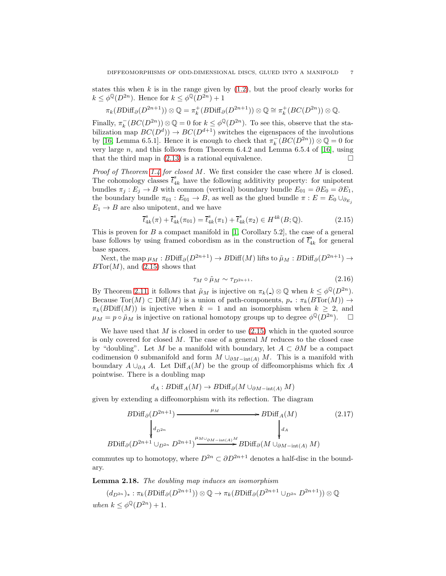states this when  $k$  is in the range given by  $(1.2)$ , but the proof clearly works for  $k \leq \phi^{\mathbb{Q}}(D^{2n})$ . Hence for  $k \leq \phi^{\mathbb{Q}}(D^{2n}) + 1$ 

$$
\pi_k(B\mathrm{Diff}_{\partial}(D^{2n+1})) \otimes \mathbb{Q} = \pi_k^+(B\mathrm{Diff}_{\partial}(D^{2n+1})) \otimes \mathbb{Q} \cong \pi_k^+(BC(D^{2n})) \otimes \mathbb{Q}.
$$

Finally,  $\pi_k^-(BC(D^{2n})) \otimes \mathbb{Q} = 0$  for  $k \leq \phi^{\mathbb{Q}}(D^{2n})$ . To see this, observe that the stabilization map  $BC(D<sup>d</sup>)$   $\rightarrow BC(D<sup>d+1</sup>)$  switches the eigenspaces of the involutions by [\[16,](#page-11-1) Lemma 6.5.1]. Hence it is enough to check that  $\pi_k^-(BC(D^{2n})) \otimes \mathbb{Q} = 0$  for very large n, and this follows from Theorem 6.4.2 and Lemma 6.5.4 of [\[16\]](#page-11-1), using that the third map in  $(2.13)$  is a rational equivalence.

Proof of Theorem [1.4](#page-1-0) for closed M. We first consider the case where M is closed. The cohomology classes  $\overline{t}_{4k}^s$  have the following additivity property: for unipotent bundles  $\pi_i : E_i \to B$  with common (vertical) boundary bundle  $E_{01} = \partial E_0 = \partial E_1$ , the boundary bundle  $\pi_{01} : E_{01} \to B$ , as well as the glued bundle  $\pi : E = E_0 \cup_{\partial E_i}$  $E_1 \rightarrow B$  are also unipotent, and we have

<span id="page-6-0"></span>
$$
\overline{t}_{4k}^{s}(\pi) + \overline{t}_{4k}^{s}(\pi_{01}) = \overline{t}_{4k}^{s}(\pi_1) + \overline{t}_{4k}^{s}(\pi_2) \in H^{4k}(B; \mathbb{Q}).
$$
\n(2.15)

This is proven for  $B$  a compact manifold in [\[1,](#page-11-7) Corollary 5.2], the case of a general base follows by using framed cobordism as in the construction of  $\bar{t}_4^s$  $\frac{s}{4k}$  for general base spaces.

Next, the map  $\mu_M : B\text{Diff}_{\partial}(D^{2n+1}) \to B\text{Diff}(M)$  lifts to  $\tilde{\mu}_M : B\text{Diff}_{\partial}(D^{2n+1}) \to$  $BTor(M)$ , and  $(2.15)$  shows that

<span id="page-6-3"></span>
$$
\tau_M \circ \tilde{\mu}_M \sim \tau_{D^{2n+1}}.\tag{2.16}
$$

By Theorem [2.11,](#page-4-3) it follows that  $\tilde{\mu}_M$  is injective on  $\pi_k(\Delta) \otimes \mathbb{Q}$  when  $k \leq \phi^{\mathbb{Q}}(D^{2n}).$ Because  $Tor(M) \subset \text{Diff}(M)$  is a union of path-components,  $p_* : \pi_k(BTor(M)) \to$  $\pi_k(B\text{Diff}(M))$  is injective when  $k = 1$  and an isomorphism when  $k > 2$ , and  $\mu_M = p \circ \tilde{\mu}_M$  is injective on rational homotopy groups up to degree  $\phi^{\mathbb{Q}}(D^{2n})$ .  $\Box$ 

We have used that  $M$  is closed in order to use  $(2.15)$  which in the quoted source is only covered for closed  $M$ . The case of a general  $M$  reduces to the closed case by "doubling". Let M be a manifold with boundary, let  $A \subset \partial M$  be a compact codimension 0 submanifold and form  $M \cup_{\partial M-\text{int}(A)} M$ . This is a manifold with boundary  $A \cup_{\partial A} A$ . Let Diff<sub>A</sub> $(M)$  be the group of diffeomorphisms which fix A pointwise. There is a doubling map

$$
d_A: B\mathrm{Diff}_A(M) \to B\mathrm{Diff}_{\partial}(M \cup_{\partial M - \mathrm{int}(A)} M)
$$

given by extending a diffeomorphism with its reflection. The diagram

<span id="page-6-2"></span>
$$
B\text{Diff}_{\partial}(D^{2n+1}) \xrightarrow{\mu_M} B\text{Diff}_A(M) \qquad (2.17)
$$
\n
$$
\downarrow d_{D^{2n}} \qquad \qquad d_A
$$
\n
$$
B\text{Diff}_{\partial}(D^{2n+1} \cup_{D^{2n}} D^{2n+1}) \xrightarrow{\mu_{M \cup_{\partial M - \text{int}(A)}M} B\text{Diff}_{\partial}(M \cup_{\partial M - \text{int}(A)} M)
$$

commutes up to homotopy, where  $D^{2n} \subset \partial D^{2n+1}$  denotes a half-disc in the boundary.

<span id="page-6-1"></span>Lemma 2.18. The doubling map induces an isomorphism

$$
(d_{D^{2n}})_*: \pi_k(B\text{Diff}_{\partial}(D^{2n+1})) \otimes \mathbb{Q} \to \pi_k(B\text{Diff}_{\partial}(D^{2n+1} \cup_{D^{2n}} D^{2n+1})) \otimes \mathbb{Q}
$$
  
when  $k \leq \phi^{\mathbb{Q}}(D^{2n}) + 1$ .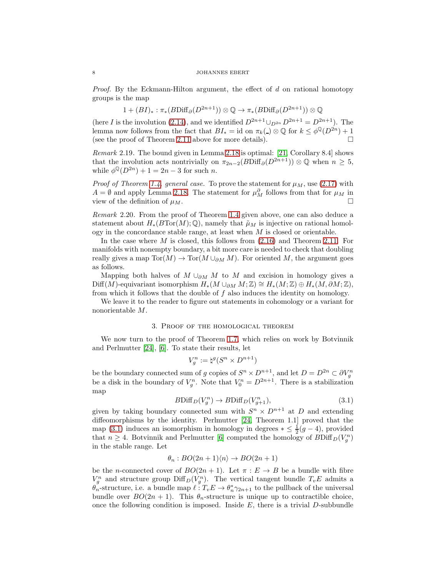*Proof.* By the Eckmann-Hilton argument, the effect of  $d$  on rational homotopy groups is the map

$$
1 + (BI)_* : \pi_*(B\text{Diff}_{\partial}(D^{2n+1})) \otimes \mathbb{Q} \to \pi_*(B\text{Diff}_{\partial}(D^{2n+1})) \otimes \mathbb{Q}
$$

(here I is the involution [\(2.14\)](#page-5-1), and we identified  $D^{2n+1} \cup_{D^{2n}} D^{2n+1} = D^{2n+1}$ ). The lemma now follows from the fact that  $BI_* = id$  on  $\pi_k(.) \otimes \mathbb{Q}$  for  $k \leq \phi^{\mathbb{Q}}(D^{2n}) + 1$ (see the proof of Theorem [2.11](#page-4-3) above for more details).  $\Box$ 

Remark 2.19. The bound given in Lemma [2.18](#page-6-1) is optimal: [\[21,](#page-12-0) Corollary 8.4] shows that the involution acts nontrivially on  $\pi_{2n-2}(B\text{Diff}_{\partial}(D^{2n+1})) \otimes \mathbb{Q}$  when  $n \geq 5$ , while  $\phi^{\mathbb{Q}}(D^{2n}) + 1 = 2n - 3$  for such *n*.

*Proof of Theorem [1.4,](#page-1-0) general case.* To prove the statement for  $\mu_M$ , use [\(2.17\)](#page-6-2) with  $A = \emptyset$  and apply Lemma [2.18.](#page-6-1) The statement for  $\mu_M^{\partial}$  follows from that for  $\mu_M$  in view of the definition of  $\mu_M$ .

Remark 2.20. From the proof of Theorem [1.4](#page-1-0) given above, one can also deduce a statement about  $H_*(BTor(M);\mathbb{Q})$ , namely that  $\tilde{\mu}_M$  is injective on rational homology in the concordance stable range, at least when  $M$  is closed or orientable.

In the case where  $M$  is closed, this follows from  $(2.16)$  and Theorem [2.11.](#page-4-3) For manifolds with nonempty boundary, a bit more care is needed to check that doubling really gives a map  $\text{Tor}(M) \to \text{Tor}(M \cup_{\partial M} M)$ . For oriented M, the argument goes as follows.

Mapping both halves of  $M \cup_{\partial M} M$  to  $M$  and excision in homology gives a Diff(M)-equivariant isomorphism  $H_*(M \cup_{\partial M} M; \mathbb{Z}) \cong H_*(M; \mathbb{Z}) \oplus H_*(M, \partial M; \mathbb{Z}),$ from which it follows that the double of  $f$  also induces the identity on homology.

We leave it to the reader to figure out statements in cohomology or a variant for nonorientable M.

### 3. Proof of the homological theorem

We now turn to the proof of Theorem [1.7,](#page-2-0) which relies on work by Botvinnik and Perlmutter [\[24\]](#page-12-5), [\[6\]](#page-11-14). To state their results, let

$$
V_g^n := \natural^g (S^n \times D^{n+1})
$$

be the boundary connected sum of g copies of  $S^n \times D^{n+1}$ , and let  $D = D^{2n} \subset \partial V_g^n$ be a disk in the boundary of  $V_g^n$ . Note that  $V_0^n = D^{2n+1}$ . There is a stabilization map

<span id="page-7-0"></span>
$$
B\text{Diff}_D(V_g^n) \to B\text{Diff}_D(V_{g+1}^n),\tag{3.1}
$$

given by taking boundary connected sum with  $S<sup>n</sup> \times D<sup>n+1</sup>$  at D and extending diffeomorphisms by the identity. Perlmutter [\[24,](#page-12-5) Theorem 1.1] proved that the map [\(3.1\)](#page-7-0) induces an isomorphism in homology in degrees  $* \leq \frac{1}{2}(g-4)$ , provided that  $n \geq 4$ . Botvinnik and Perlmutter [\[6\]](#page-11-14) computed the homology of  $B\text{Diff}_D(V_g^n)$ in the stable range. Let

$$
\theta_n : BO(2n+1)\langle n \rangle \to BO(2n+1)
$$

be the *n*-connected cover of  $BO(2n + 1)$ . Let  $\pi : E \to B$  be a bundle with fibre  $V_g^n$  and structure group  $\text{Diff}_D(V_g^n)$ . The vertical tangent bundle  $T_vE$  admits a  $\hat{\theta_n}$ -structure, i.e. a bundle map  $\ell : T_v E \to \theta_n^* \gamma_{2n+1}$  to the pullback of the universal bundle over  $BO(2n + 1)$ . This  $\theta_n$ -structure is unique up to contractible choice, once the following condition is imposed. Inside  $E$ , there is a trivial  $D$ -subbundle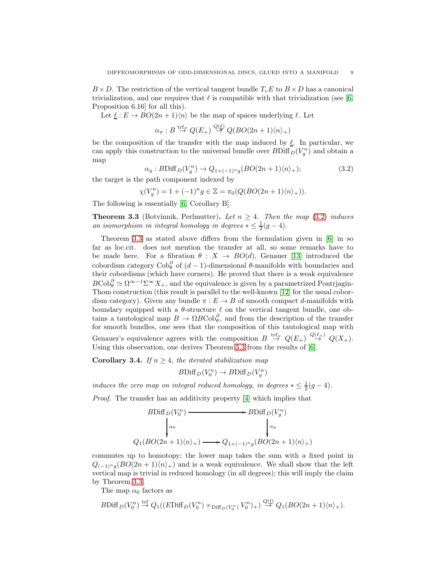$B \times D$ . The restriction of the vertical tangent bundle  $T_vE$  to  $B \times D$  has a canonical trivialization, and one requires that  $\ell$  is compatible with that trivialization (see [\[6,](#page-11-14) Proposition 6.16] for all this).

Let  $\underline{\ell}: E \to BO(2n+1)\langle n \rangle$  be the map of spaces underlying  $\ell$ . Let

$$
\alpha_{\pi}: B \stackrel{\text{trf}_{\pi}}{\to} Q(E_{+}) \stackrel{Q(\ell)}{\to} Q(BO(2n+1)\langle n \rangle_{+})
$$

be the composition of the transfer with the map induced by  $\ell$ . In particular, we can apply this construction to the universal bundle over  $B\text{Diff}_D(V_g^n)$  and obtain a map

<span id="page-8-1"></span>
$$
\alpha_g: B\text{Diff}_D(V_g^n) \to Q_{1+(-1)^n g}(BO(2n+1)\langle n \rangle_+); \tag{3.2}
$$

the target is the path component indexed by

$$
\chi(V_g^n) = 1 + (-1)^n g \in \mathbb{Z} = \pi_0(Q(BO(2n+1)\langle n \rangle_+)).
$$

The following is essentially [\[6,](#page-11-14) Corollary B].

<span id="page-8-2"></span>**Theorem 3.3** (Botvinnik, Perlmutter). Let  $n \geq 4$ . Then the map [\(3.2\)](#page-8-1) induces an isomorphism in integral homology in degrees  $* \leq \frac{1}{2}(g-4)$ .

Theorem [3.3](#page-8-2) as stated above differs from the formulation given in [\[6\]](#page-11-14) in so far as loc.cit. does not mention the transfer at all, so some remarks have to be made here. For a fibration  $\theta : X \to BO(d)$ , Genauer [\[13\]](#page-11-15) introduced the cobordism category  $\text{Cob}_\theta^{\partial}$  of  $(d-1)$ -dimensional  $\theta$ -manifolds with boundaries and their cobordisms (which have corners). He proved that there is a weak equivalence  $B\text{Cob}_\theta^{\partial} \simeq \Omega^{\infty-1} \Sigma^{\infty} X_+$ , and the equivalence is given by a parametrized Pontrjagin-Thom construction (this result is parallel to the well-known [\[12\]](#page-11-16) for the usual cobordism category). Given any bundle  $\pi : E \to B$  of smooth compact d-manifolds with boundary equipped with a  $\theta$ -structure  $\ell$  on the vertical tangent bundle, one obtains a tautological map  $B \to \Omega B \text{Cob}_{\theta}^{\partial}$ , and from the description of the transfer for smooth bundles, one sees that the composition of this tautological map with Genauer's equivalence agrees with the composition  $B \stackrel{\text{trf}_{\pi}}{\rightarrow} Q(E_{+}) \stackrel{Q(\ell_{+})}{\rightarrow} Q(X_{+})$ . Using this observation, one derives Theorem [3.3](#page-8-2) from the results of [\[6\]](#page-11-14).

<span id="page-8-0"></span>Corollary 3.4. If  $n \geq 4$ , the iterated stabilization map

$$
B\mathrm{Diff}_D(V_0^n) \to B\mathrm{Diff}_D(V_g^n)
$$

induces the zero map on integral reduced homology, in degrees  $*\leq \frac{1}{2}(g-4)$ .

Proof. The transfer has an additivity property [\[4\]](#page-11-17) which implies that

$$
BDiff_D(V_0^n) \longrightarrow BDiff_D(V_g^n)
$$
  
\n
$$
\downarrow_{\alpha_0} \qquad \qquad \downarrow_{\alpha_g}
$$
  
\n
$$
Q_1(BO(2n+1)\langle n \rangle_+) \longrightarrow Q_{1+(-1)^n g}(BO(2n+1)\langle n \rangle_+)
$$

commutes up to homotopy; the lower map takes the sum with a fixed point in  $Q_{(-1)^nq}(BO(2n+1)\langle n\rangle_+)$  and is a weak equivalence. We shall show that the left vertical map is trivial in reduced homology (in all degrees); this will imply the claim by Theorem [3.3.](#page-8-2)

The map  $\alpha_0$  factors as

$$
B\mathrm{Diff}_D(V_0^n) \stackrel{\mathrm{trf}}{\rightarrow} Q_1((E\mathrm{Diff}_D(V_0^n) \times_{\mathrm{Diff}_D(V_0^n)} V_0^n)_+) \stackrel{Q(l)}{\rightarrow} Q_1(BO(2n+1)\langle n \rangle_+).
$$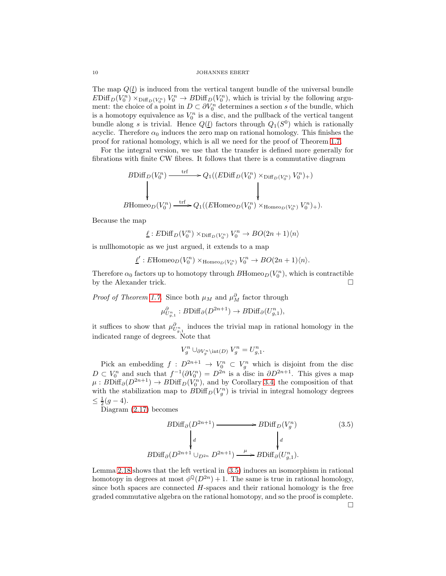The map  $Q(\underline{l})$  is induced from the vertical tangent bundle of the universal bundle  $EDiff_D(V_0^n) \times_{\text{Diff}_D(V_0^n)} V_0^n \to BDiff_D(V_0^n)$ , which is trivial by the following argument: the choice of a point in  $D \subset \partial V_0^n$  determines a section s of the bundle, which is a homotopy equivalence as  $V_0^n$  is a disc, and the pullback of the vertical tangent bundle along s is trivial. Hence  $Q(\underline{l})$  factors through  $Q_1(S^0)$  which is rationally acyclic. Therefore  $\alpha_0$  induces the zero map on rational homology. This finishes the proof for rational homology, which is all we need for the proof of Theorem [1.7.](#page-2-0)

For the integral version, we use that the transfer is defined more generally for fibrations with finite CW fibres. It follows that there is a commutative diagram

$$
B\text{Diff}_D(V_0^n) \xrightarrow{\text{trf}} Q_1((E\text{Diff}_D(V_0^n) \times_{\text{Diff}_D(V_0^n)} V_0^n)_+)
$$
  
\n
$$
\downarrow \qquad \qquad \downarrow
$$
  
\n
$$
B\text{Homeo}_D(V_0^n) \xrightarrow{\text{trf}} Q_1((E\text{Homeo}_D(V_0^n) \times_{\text{Homeo}_D(V_0^n)} V_0^n)_+).
$$

Because the map

 $\underline{\ell}: E\mathrm{Diff}_D(V_0^n) \times_{\mathrm{Diff}_D(V_0^n)} V_0^n \to BO(2n+1)\langle n \rangle$ 

is nullhomotopic as we just argued, it extends to a map

 $\underline{\ell}' : E\text{Homeo}_D(V_0^n) \times_{\text{Homeo}_D(V_0^n)} V_0^n \to BO(2n+1)\langle n \rangle.$ 

Therefore  $\alpha_0$  factors up to homotopy through  $B$ Homeo $_D(V_0^n)$ , which is contractible by the Alexander trick.

*Proof of Theorem [1.7.](#page-2-0)* Since both  $\mu_M$  and  $\mu_M^{\partial}$  factor through

$$
\mu_{U_{g,1}^n}^{\partial} : B\mathrm{Diff}_{\partial}(D^{2n+1}) \to B\mathrm{Diff}_{\partial}(U_{g,1}^n),
$$

it suffices to show that  $\mu_{U_{g,1}^n}^{\partial_n}$  induces the trivial map in rational homology in the indicated range of degrees. Note that

$$
V_g^n \cup_{\partial V_g^n \setminus \text{int}(D)} V_g^n = U_{g,1}^n.
$$

Pick an embedding  $f: D^{2n+1} \to V_0^n \subset V_g^n$  which is disjoint from the disc  $D \subset V_0^n$  and such that  $f^{-1}(\partial V_0^n) = D^{2n}$  is a disc in  $\partial D^{2n+1}$ . This gives a map  $\mu : B\text{Diff}_{\partial}(D^{2n+1}) \to B\text{Diff}_D(V_0^n)$ , and by Corollary [3.4,](#page-8-0) the composition of that with the stabilization map to  $B\text{Diff}_D(V_g^n)$  is trivial in integral homology degrees  $\leq \frac{1}{2}(g-4).$ 

Diagram [\(2.17\)](#page-6-2) becomes

<span id="page-9-0"></span>
$$
BDiff_{\partial}(D^{2n+1}) \longrightarrow BDiff_{D}(V_g^n)
$$
\n
$$
\downarrow d \qquad \qquad \downarrow d
$$
\n
$$
BDiff_{\partial}(D^{2n+1} \cup_{D^{2n}} D^{2n+1}) \xrightarrow{\mu} BDiff_{\partial}(U_{g,1}^n).
$$
\n
$$
(3.5)
$$

Lemma [2.18](#page-6-1) shows that the left vertical in [\(3.5\)](#page-9-0) induces an isomorphism in rational homotopy in degrees at most  $\phi^{\mathbb{Q}}(D^{2n})+1$ . The same is true in rational homology, since both spaces are connected  $H$ -spaces and their rational homology is the free graded commutative algebra on the rational homotopy, and so the proof is complete.  $\Box$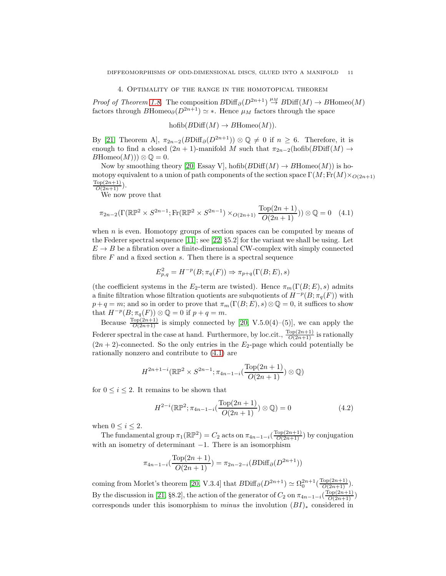4. Optimality of the range in the homotopical theorem

*Proof of Theorem [1.8.](#page-2-1)* The composition  $B\text{Diff}_{\partial}(D^{2n+1}) \stackrel{\mu_M}{\rightarrow} B\text{Diff}(M) \rightarrow B\text{Homeo}(M)$ factors through BHomeo<sub>∂</sub>( $D^{2n+1}$ )  $\simeq$  \*. Hence  $\mu_M$  factors through the space

 $hofib(BDiff(M) \rightarrow BHomeo(M)).$ 

By [\[21,](#page-12-0) Theorem A],  $\pi_{2n-2}(B\text{Diff}_{\partial}(D^{2n+1})) \otimes \mathbb{Q} \neq 0$  if  $n \geq 6$ . Therefore, it is enough to find a closed  $(2n + 1)$ -manifold M such that  $\pi_{2n-2}(\text{hofib}(B\text{Diff}(M) \rightarrow$  $B\mathrm{Homeo}(M))\otimes \mathbb{Q}=0.$ 

Now by smoothing theory [\[20,](#page-12-6) Essay V], hofib $(BDiff(M) \rightarrow BHom\{0\}$  is homotopy equivalent to a union of path components of the section space  $\Gamma(M; \text{Fr}(M) \times_{O(2n+1)} \mathcal{O}(N))$  $\frac{\text{Top}(2n+1)}{O(2n+1)}$ .

We now prove that

<span id="page-10-0"></span>
$$
\pi_{2n-2}(\Gamma(\mathbb{RP}^2 \times S^{2n-1}; \text{Fr}(\mathbb{RP}^2 \times S^{2n-1}) \times_{O(2n+1)} \frac{\text{Top}(2n+1)}{O(2n+1)})) \otimes \mathbb{Q} = 0 \quad (4.1)
$$

when  $n$  is even. Homotopy groups of section spaces can be computed by means of the Federer spectral sequence [\[11\]](#page-11-18); see [\[22,](#page-12-7) §5.2] for the variant we shall be using. Let  $E \rightarrow B$  be a fibration over a finite-dimensional CW-complex with simply connected fibre  $F$  and a fixed section  $s$ . Then there is a spectral sequence

$$
E_{p,q}^2 = H^{-p}(B; \pi_q(F)) \Rightarrow \pi_{p+q}(\Gamma(B; E), s)
$$

(the coefficient systems in the  $E_2$ -term are twisted). Hence  $\pi_m(\Gamma(B; E), s)$  admits a finite filtration whose filtration quotients are subquotients of  $H^{-p}(B; \pi_q(F))$  with  $p+q = m$ ; and so in order to prove that  $\pi_m(\Gamma(B; E), s) \otimes \mathbb{Q} = 0$ , it suffices to show that  $H^{-p}(B; \pi_q(F)) \otimes \mathbb{Q} = 0$  if  $p + q = m$ .

Because  $\frac{\text{Top}(2n+1)}{O(2n+1)}$  is simply connected by [\[20,](#page-12-6) V.5.0(4)–(5)], we can apply the Federer spectral in the case at hand. Furthermore, by loc.cit.,  $\frac{\text{Top}(2n+1)}{O(2n+1)}$  is rationally  $(2n + 2)$ -connected. So the only entries in the  $E_2$ -page which could potentially be rationally nonzero and contribute to [\(4.1\)](#page-10-0) are

$$
H^{2n+1-i}(\mathbb{RP}^2 \times S^{2n-1}; \pi_{4n-1-i}(\frac{\text{Top}(2n+1)}{O(2n+1)}) \otimes \mathbb{Q})
$$

for  $0 \leq i \leq 2$ . It remains to be shown that

<span id="page-10-1"></span>
$$
H^{2-i}(\mathbb{RP}^2; \pi_{4n-1-i}(\frac{\text{Top}(2n+1)}{O(2n+1)}) \otimes \mathbb{Q}) = 0
$$
 (4.2)

when  $0 \leq i \leq 2$ .

The fundamental group  $\pi_1(\mathbb{RP}^2) = C_2$  acts on  $\pi_{4n-1-i}(\frac{\text{Top}(2n+1)}{O(2n+1)})$  by conjugation with an isometry of determinant  $-1$ . There is an isomorphism

$$
\pi_{4n-1-i}(\frac{\text{Top}(2n+1)}{O(2n+1)}) = \pi_{2n-2-i}(B\text{Diff}_{\partial}(D^{2n+1}))
$$

coming from Morlet's theorem [\[20,](#page-12-6) V.3.4] that  $B\text{Diff}_{\partial}(D^{2n+1}) \simeq \Omega_0^{2n+1}(\frac{\text{Top}(2n+1)}{O(2n+1)})$ . By the discussion in [\[21,](#page-12-0) §8.2], the action of the generator of  $C_2$  on  $\pi_{4n-1-i}(\frac{\text{Top}(2n+1)}{O(2n+1)})$ corresponds under this isomorphism to *minus* the involution  $(BI)_*$  considered in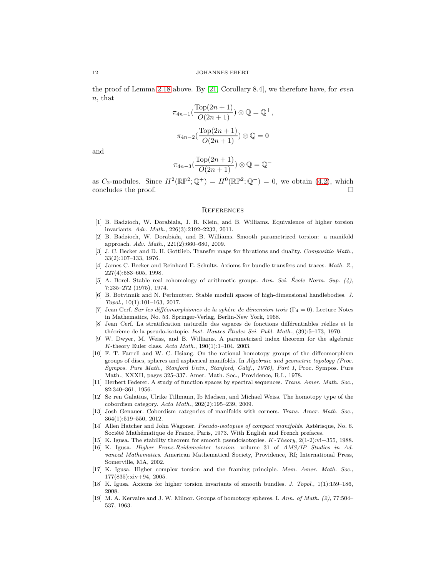the proof of Lemma [2.18](#page-6-1) above. By [\[21,](#page-12-0) Corollary 8.4], we therefore have, for even  $n.$  that

$$
\pi_{4n-1}(\frac{\text{Top}(2n+1)}{O(2n+1)}) \otimes \mathbb{Q} = \mathbb{Q}^+,
$$

$$
\pi_{4n-2}(\frac{\text{Top}(2n+1)}{O(2n+1)}) \otimes \mathbb{Q} = 0
$$

and

$$
\pi_{4n-3}(\frac{\operatorname{Top}(2n+1)}{O(2n+1)})\otimes\mathbb{Q}=\mathbb{Q}^-
$$

as  $C_2$ -modules. Since  $H^2(\mathbb{RP}^2;\mathbb{Q}^+) = H^0(\mathbb{RP}^2;\mathbb{Q}^-) = 0$ , we obtain [\(4.2\)](#page-10-1), which concludes the proof.

**REFERENCES** 

- <span id="page-11-7"></span>[1] B. Badzioch, W. Dorabiała, J. R. Klein, and B. Williams. Equivalence of higher torsion invariants. Adv. Math., 226(3):2192–2232, 2011.
- <span id="page-11-11"></span>[2] B. Badzioch, W. Dorabiała, and B. Williams. Smooth parametrized torsion: a manifold approach. Adv. Math., 221(2):660–680, 2009.
- <span id="page-11-10"></span>[3] J. C. Becker and D. H. Gottlieb. Transfer maps for fibrations and duality. Compositio Math., 33(2):107–133, 1976.
- <span id="page-11-17"></span>[4] James C. Becker and Reinhard E. Schultz. Axioms for bundle transfers and traces. Math. Z., 227(4):583–605, 1998.
- <span id="page-11-12"></span>[5] A. Borel. Stable real cohomology of arithmetic groups. Ann. Sci. Ecole Norm. Sup.  $(4)$ , 7:235–272 (1975), 1974.
- <span id="page-11-14"></span>[6] B. Botvinnik and N. Perlmutter. Stable moduli spaces of high-dimensional handlebodies. J. Topol., 10(1):101–163, 2017.
- <span id="page-11-4"></span>[7] Jean Cerf. Sur les difféomorphismes de la sphère de dimension trois (Γ $_4 = 0$ ). Lecture Notes in Mathematics, No. 53. Springer-Verlag, Berlin-New York, 1968.
- <span id="page-11-5"></span>[8] Jean Cerf. La stratification naturelle des espaces de fonctions différentiables réelles et le théorème de la pseudo-isotopie. Inst. Hautes Études Sci. Publ. Math., (39):5–173, 1970.
- <span id="page-11-9"></span>[9] W. Dwyer, M. Weiss, and B. Williams. A parametrized index theorem for the algebraic K-theory Euler class. Acta Math., 190(1):1–104, 2003.
- <span id="page-11-0"></span>[10] F. T. Farrell and W. C. Hsiang. On the rational homotopy groups of the diffeomorphism groups of discs, spheres and aspherical manifolds. In Algebraic and geometric topology (Proc. Sympos. Pure Math., Stanford Univ., Stanford, Calif., 1976), Part 1, Proc. Sympos. Pure Math., XXXII, pages 325–337. Amer. Math. Soc., Providence, R.I., 1978.
- <span id="page-11-18"></span>[11] Herbert Federer. A study of function spaces by spectral sequences. Trans. Amer. Math. Soc., 82:340–361, 1956.
- <span id="page-11-16"></span>[12] Sø ren Galatius, Ulrike Tillmann, Ib Madsen, and Michael Weiss. The homotopy type of the cobordism category. Acta Math., 202(2):195–239, 2009.
- <span id="page-11-15"></span>[13] Josh Genauer. Cobordism categories of manifolds with corners. Trans. Amer. Math. Soc., 364(1):519–550, 2012.
- <span id="page-11-2"></span>[14] Allen Hatcher and John Wagoner. Pseudo-isotopies of compact manifolds. Astérisque, No. 6. Société Mathématique de France, Paris, 1973. With English and French prefaces.
- <span id="page-11-3"></span><span id="page-11-1"></span>[15] K. Igusa. The stability theorem for smooth pseudoisotopies.  $K$ -Theory, 2(1-2):vi+355, 1988.
- [16] K. Igusa. Higher Franz-Reidemeister torsion, volume 31 of AMS/IP Studies in Advanced Mathematics. American Mathematical Society, Providence, RI; International Press, Somerville, MA, 2002.
- <span id="page-11-13"></span>[17] K. Igusa. Higher complex torsion and the framing principle. Mem. Amer. Math. Soc., 177(835):xiv+94, 2005.
- <span id="page-11-8"></span>[18] K. Igusa. Axioms for higher torsion invariants of smooth bundles. J. Topol., 1(1):159–186, 2008.
- <span id="page-11-6"></span>[19] M. A. Kervaire and J. W. Milnor. Groups of homotopy spheres. I. Ann. of Math. (2), 77:504-537, 1963.